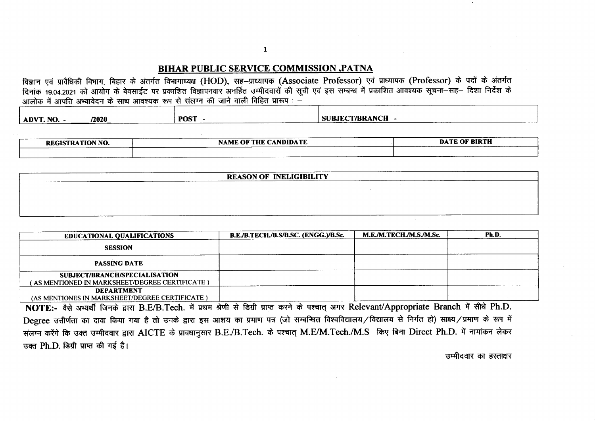## **BIHAR PUBLIC SERVICE COMMISSION , PATNA**

विज्ञान एवं प्रावैधिकी विभाग, बिहार के अंतर्गत विभागाध्यक्ष (HOD), सह-प्राध्यापक (Associate Professor) एवं प्राध्यापक (Professor) के पदों के अंतर्गत दिनाक 19.04.2021 को आयोग के बेवसाईट पर प्रकाशित विज्ञापनवार अनर्हित उम्मीदवारों की सूची एवं इस सम्बन्ध में प्रकाशित आवश्यक सूचना-सह- दिशा निर्देश के 

| /2020<br>ADVT. NO.  | . POST | <b>SUBJECT/BRANCH</b> |
|---------------------|--------|-----------------------|
| .<br>______________ |        |                       |

| <b>REGISTRATION NO.</b> | <b>NAME OF THE CANDIDATE</b> | <b>DATE OF BIRTH</b> |
|-------------------------|------------------------------|----------------------|
|                         |                              |                      |

| <b>REASON OF INELIGIBILITY</b> |  |  |  |  |  |  |  |  |
|--------------------------------|--|--|--|--|--|--|--|--|
|                                |  |  |  |  |  |  |  |  |
|                                |  |  |  |  |  |  |  |  |
|                                |  |  |  |  |  |  |  |  |
|                                |  |  |  |  |  |  |  |  |

| <b>EDUCATIONAL QUALIFICATIONS</b>                                               | B.E./B.TECH./B.S/B.SC. (ENGG.)/B.Sc. | M.E./M.TECH./M.S./M.Sc. | Ph.D. |
|---------------------------------------------------------------------------------|--------------------------------------|-------------------------|-------|
| <b>SESSION</b>                                                                  |                                      |                         |       |
| <b>PASSING DATE</b>                                                             |                                      |                         |       |
| SUBJECT/BRANCH/SPECIALISATION<br>AS MENTIONED IN MARKSHEET/DEGREE CERTIFICATE ) |                                      |                         |       |
| <b>DEPARTMENT</b><br>(AS MENTIONES IN MARKSHEET/DEGREE CERTIFICATE)             |                                      |                         |       |

NOTE:- वैसे अभ्यर्थी जिनके द्वारा B.E/B.Tech. में प्रथम श्रेणी से डिग्री प्राप्त करने के पश्चात अगर Relevant/Appropriate Branch में सीधे Ph.D. Degree उत्तीर्णता का दावा किया गया है तो उनके द्वारा इस आशय का प्रमाण पत्र (जो सम्बन्धित विश्वविद्यालय/विद्यालय से निर्गत हो) साक्ष्य/प्रमाण के रूप में संलग्न करेंगे कि उक्त उम्मीदवार द्वारा AICTE के प्रावधानुसार B.E./B.Tech. के पश्चात् M.E/M.Tech./M.S किए बिना Direct Ph.D. में नामांकन लेकर उक्त Ph.D. डिग्री प्राप्त की गई है।

उम्मीदवार का हस्ताक्षर

 $\mathbf{1}$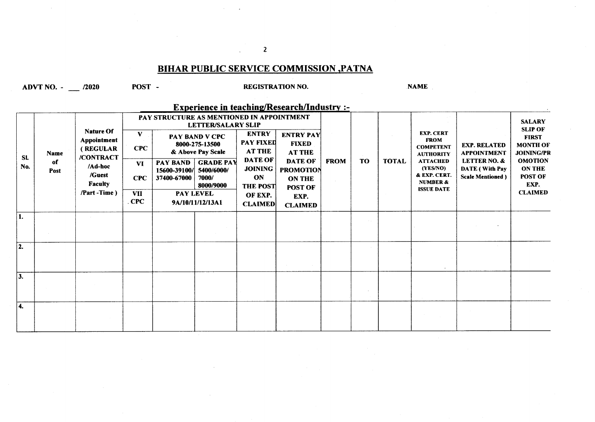# **BIHAR PUBLIC SERVICE COMMISSION , PATNA**

ADVT NO.  $-$  2020

POST-

#### **REGISTRATION NO.**

NAME

**Experience in teaching/Research/Industry :-**

| SL.<br>No.                | Name<br>of<br>Post | <b>Nature Of</b><br>Appointment<br>(REGULAR<br>/CONTRACT<br>/Ad-hoc<br>/Guest<br><b>Faculty</b><br>/Part -Time) | v<br><b>CPC</b><br><b>VI</b><br><b>CPC</b><br><b>VII</b><br>CPC | PAY STRUCTURE AS MENTIONED IN APPOINTMENT<br><b>PAY BAND</b><br>15600-39100/<br>37400-67000 | <b>LETTER/SALARY SLIP</b><br><b>PAY BAND V CPC</b><br>8000-275-13500<br>& Above Pay Scale<br><b>GRADE PAY</b><br>5400/6000/<br>7000/<br>8000/9000<br>PAY LEVEL<br>9A/10/11/12/13A1 | <b>ENTRY</b><br><b>PAY FIXED</b><br><b>AT THE</b><br><b>DATE OF</b><br><b>JOINING</b><br>ON<br><b>THE POST</b><br>OF EXP.<br><b>CLAIMED</b> | <b>ENTRY PAY</b><br><b>FIXED</b><br><b>AT THE</b><br><b>DATE OF</b><br><b>PROMOTION</b><br><b>ON THE</b><br>POST OF<br>EXP.<br><b>CLAIMED</b> | <b>FROM</b> | <b>TO</b> | <b>TOTAL</b> | <b>EXP. CERT</b><br><b>FROM</b><br><b>COMPETENT</b><br><b>AUTHORITY</b><br><b>ATTACHED</b><br>(YES/NO)<br>& EXP. CERT.<br><b>NUMBER &amp;</b><br><b>ISSUE DATE</b> | <b>EXP. RELATED</b><br><b>APPOINTMENT</b><br><b>LETTER NO. &amp;</b><br><b>DATE</b> (With Pay<br><b>Scale Mentioned</b> ) | <b>SALARY</b><br><b>SLIP OF</b><br><b>FIRST</b><br><b>MONTH OF</b><br><b>JOINING/PR</b><br><b>OMOTION</b><br><b>ON THE</b><br>POST OF<br>EXP.<br><b>CLAIMED</b> |
|---------------------------|--------------------|-----------------------------------------------------------------------------------------------------------------|-----------------------------------------------------------------|---------------------------------------------------------------------------------------------|------------------------------------------------------------------------------------------------------------------------------------------------------------------------------------|---------------------------------------------------------------------------------------------------------------------------------------------|-----------------------------------------------------------------------------------------------------------------------------------------------|-------------|-----------|--------------|--------------------------------------------------------------------------------------------------------------------------------------------------------------------|---------------------------------------------------------------------------------------------------------------------------|-----------------------------------------------------------------------------------------------------------------------------------------------------------------|
| $\overline{\mathbf{1}}$ . |                    |                                                                                                                 |                                                                 |                                                                                             |                                                                                                                                                                                    |                                                                                                                                             |                                                                                                                                               |             |           |              |                                                                                                                                                                    |                                                                                                                           |                                                                                                                                                                 |
| 2.                        |                    |                                                                                                                 |                                                                 |                                                                                             |                                                                                                                                                                                    |                                                                                                                                             |                                                                                                                                               |             |           |              |                                                                                                                                                                    |                                                                                                                           |                                                                                                                                                                 |
| 3.                        |                    |                                                                                                                 |                                                                 |                                                                                             |                                                                                                                                                                                    |                                                                                                                                             |                                                                                                                                               |             |           |              |                                                                                                                                                                    |                                                                                                                           |                                                                                                                                                                 |
| 14.                       |                    |                                                                                                                 |                                                                 |                                                                                             |                                                                                                                                                                                    |                                                                                                                                             |                                                                                                                                               |             |           |              |                                                                                                                                                                    |                                                                                                                           |                                                                                                                                                                 |

 $\overline{2}$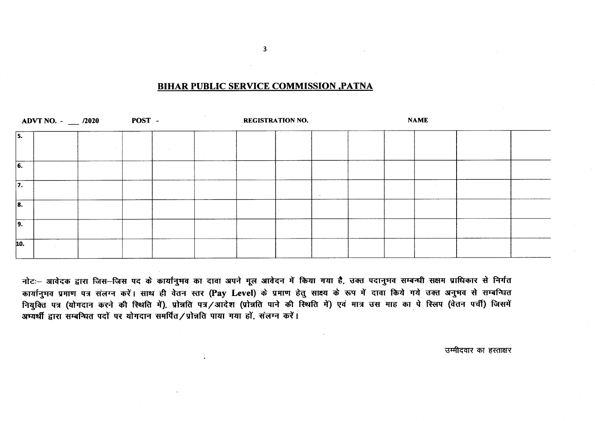## **BIHAR PUBLIC SERVICE COMMISSION , PATNA**

|                           | ADVT NO. $ \frac{2020}{ }$ | POST - |  | <b>REGISTRATION NO.</b> |        |  | <b>NAME</b> |  |
|---------------------------|----------------------------|--------|--|-------------------------|--------|--|-------------|--|
| 5.                        |                            |        |  |                         |        |  |             |  |
| 6.                        |                            |        |  |                         |        |  |             |  |
| 7.                        |                            |        |  |                         | $\sim$ |  |             |  |
| $\overline{\mathbf{8}}$ . |                            |        |  |                         |        |  |             |  |
| $\overline{9.}$           |                            |        |  |                         |        |  |             |  |
| 10.                       |                            |        |  |                         |        |  |             |  |

नोटः– आवेदक द्वारा जिस–जिस पद के कार्यानुभव का दावा अपने मूल आवेदन में किया गया है, उक्त पदानुभव सम्बन्धी सक्षम प्राधिकार से निर्गत कार्यानुभव प्रमाण पत्र संलग्न करें। साथ ही वेतन स्तर (Pay Level) के प्रमाण हेतु साक्ष्य के रूप में दावा किये गये उक्त अनुभव से सम्बन्धित नियुक्ति पत्र (योगदान करने की स्थिति में), प्रोन्नति पत्र/आदेश (प्रोन्नति पाने की स्थिति में) एवं मात्र उस माह का पे स्लिप (वेतन पर्ची) जिसमें अभ्यर्थी द्वारा सम्बन्धित पदों पर योगदान समर्पित/प्रोन्नति पाया गया हों, संलग्न करें।

उम्मीदवार का हस्ताक्षर

 $\overline{\mathbf{3}}$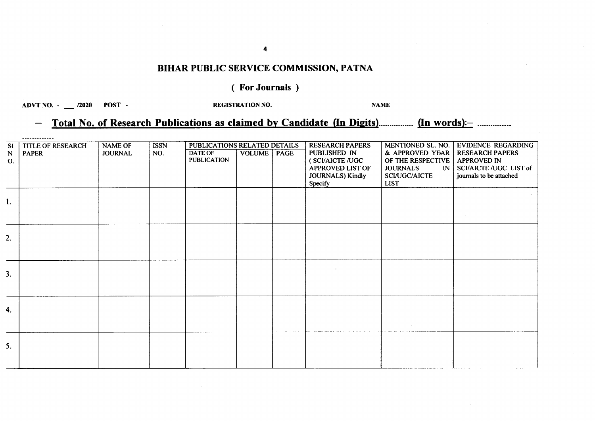# BIHAR PUBLIC SERVICE COMMISSION, PATNA

## ( For Journals )

ADVT NO. - \_\_ /2020 POST -

REGISTRATION NO. NAME

#### Total No. of Research Publications as claimed by Candidate (In Digits)............... (In words):- ..............  $\overline{\phantom{m}}$

|                | -------------            |                |             |                                     |                      |                         |                                 |                               |
|----------------|--------------------------|----------------|-------------|-------------------------------------|----------------------|-------------------------|---------------------------------|-------------------------------|
| SI             | <b>TITLE OF RESEARCH</b> | <b>NAME OF</b> | <b>ISSN</b> | <b>PUBLICATIONS RELATED DETAILS</b> |                      | <b>RESEARCH PAPERS</b>  | MENTIONED SL. NO.               | <b>EVIDENCE REGARDING</b>     |
| ${\bf N}$      | <b>PAPER</b>             | <b>JOURNAL</b> | NO.         | <b>DATE OF</b>                      | <b>VOLUME</b>   PAGE | PUBLISHED IN            | & APPROVED YEAR                 | <b>RESEARCH PAPERS</b>        |
| $\mathbf{O}$ . |                          |                |             | <b>PUBLICATION</b>                  |                      | (SCI/AICTE/UGC          | OF THE RESPECTIVE               | <b>APPROVED IN</b>            |
|                |                          |                |             |                                     |                      | <b>APPROVED LIST OF</b> | <b>JOURNALS</b><br>$\mathbb{N}$ | <b>SCI/AICTE /UGC LIST of</b> |
|                |                          |                |             |                                     |                      | JOURNALS) Kindly        | <b>SCI/UGC/AICTE</b>            | journals to be attached       |
|                |                          |                |             |                                     |                      | Specify                 | <b>LIST</b>                     |                               |
|                |                          |                |             |                                     |                      |                         |                                 |                               |
| l.             |                          |                |             |                                     |                      |                         |                                 |                               |
|                |                          |                |             |                                     |                      |                         |                                 |                               |
|                |                          |                |             |                                     |                      |                         |                                 |                               |
|                |                          |                |             |                                     |                      |                         |                                 |                               |
|                |                          |                |             |                                     |                      |                         |                                 |                               |
| 2.             |                          |                |             |                                     |                      |                         |                                 |                               |
|                |                          |                |             |                                     |                      |                         |                                 |                               |
|                |                          |                |             |                                     |                      |                         |                                 |                               |
|                |                          |                |             |                                     |                      |                         |                                 |                               |
| 3.             |                          |                |             |                                     |                      |                         |                                 |                               |
|                |                          |                |             |                                     |                      |                         |                                 |                               |
|                |                          |                |             |                                     |                      |                         |                                 |                               |
|                |                          |                |             |                                     |                      |                         |                                 |                               |
|                |                          |                |             |                                     |                      |                         |                                 |                               |
| 4.             |                          |                |             |                                     |                      |                         |                                 |                               |
|                |                          |                |             |                                     |                      |                         |                                 |                               |
|                |                          |                |             |                                     |                      |                         |                                 |                               |
|                |                          |                |             |                                     |                      |                         |                                 |                               |
| 5.             |                          |                |             |                                     |                      |                         |                                 |                               |
|                |                          |                |             |                                     |                      |                         |                                 |                               |
|                |                          |                |             |                                     |                      |                         |                                 |                               |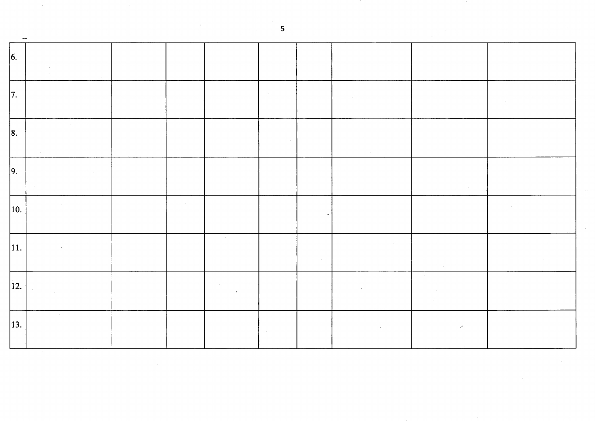| $\vert 6. \vert$  |  |                |        |  |   |  |
|-------------------|--|----------------|--------|--|---|--|
| 7.                |  |                |        |  |   |  |
| $\vert 8.$        |  |                |        |  |   |  |
| $\vert$ 9.        |  | $\sim 10^{-1}$ |        |  |   |  |
| 10.               |  |                | $\sim$ |  |   |  |
| 11.               |  |                |        |  |   |  |
| $\vert$ 12.       |  |                |        |  |   |  |
| $\vert 13. \vert$ |  |                |        |  | ╱ |  |

 $\overline{\mathbf{5}}$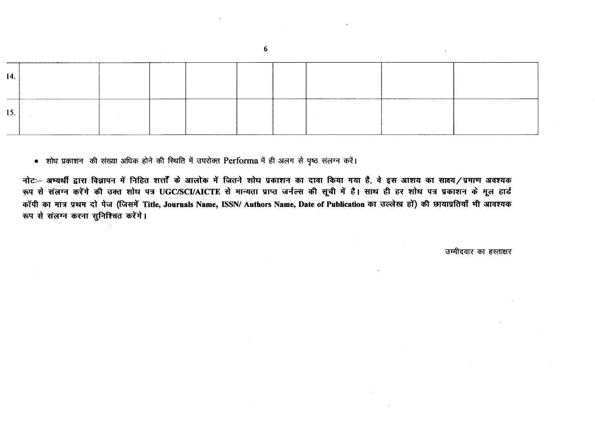| 14. |  |  |  |  |  |
|-----|--|--|--|--|--|
| 15. |  |  |  |  |  |

• शोध प्रकाशन की संख्या अधिक होने की स्थिति में उपरोक्त Performa में ही अलग से पृष्ठ संलग्न करें।

नोटः– अभ्यर्थी द्वारा विज्ञापन में निहित शत्तों के आलोक में जितने शोध प्रकाशन का दावा किया गया है, वे इस आशय का साक्ष्य/प्रमाण अवश्यक रूप से संलग्न करेंगे की उक्त शोध पत्र UGC/SCI/AICTE से मान्यता प्राप्त जर्नल्स की सूची में है। साथ ही हर शोध पत्र प्रकाशन के मूल हार्ड कॉपी का मात्र प्रथम दो पेज (जिसमें Title, Journals Name, ISSN/ Authors Name, Date of Publication का उल्लेख हों) की छायाप्रतियाँ मी आवश्यक रूप से संलग्न करना सुनिश्चित करेंगे।

उम्मीदवार का हस्ताक्षर

6